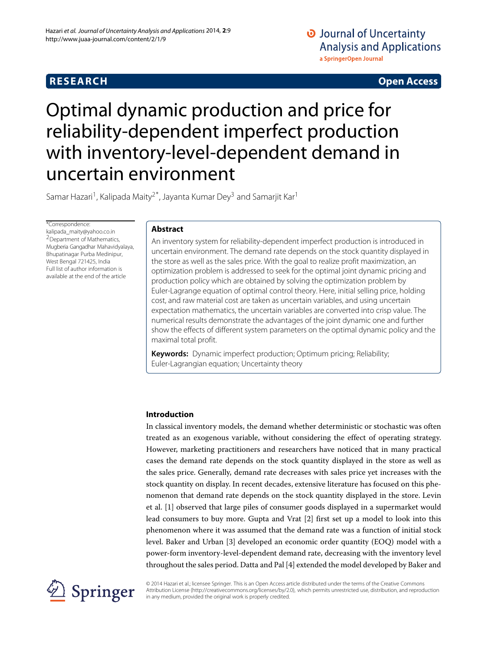# **RESEARCH Open Access**

# O Journal of Uncertainty **Analysis and Applications** a SpringerOpen Journal

# Optimal dynamic production and price for reliability-dependent imperfect production with inventory-level-dependent demand in uncertain environment

Samar Hazari<sup>1</sup>, Kalipada Maity<sup>2\*</sup>, Jayanta Kumar Dey<sup>3</sup> and Samarjit Kar<sup>1</sup>

\*Correspondence:

[kalipada\\_maity@yahoo.co.in](mailto:kalipada_maity@yahoo.co.in) 2Department of Mathematics, Mugberia Gangadhar Mahavidyalaya, Bhupatinagar Purba Medinipur, West Bengal 721425, India Full list of author information is available at the end of the article

### **Abstract**

An inventory system for reliability-dependent imperfect production is introduced in uncertain environment. The demand rate depends on the stock quantity displayed in the store as well as the sales price. With the goal to realize profit maximization, an optimization problem is addressed to seek for the optimal joint dynamic pricing and production policy which are obtained by solving the optimization problem by Euler-Lagrange equation of optimal control theory. Here, initial selling price, holding cost, and raw material cost are taken as uncertain variables, and using uncertain expectation mathematics, the uncertain variables are converted into crisp value. The numerical results demonstrate the advantages of the joint dynamic one and further show the effects of different system parameters on the optimal dynamic policy and the maximal total profit.

**Keywords:** Dynamic imperfect production; Optimum pricing; Reliability; Euler-Lagrangian equation; Uncertainty theory

### **Introduction**

In classical inventory models, the demand whether deterministic or stochastic was often treated as an exogenous variable, without considering the effect of operating strategy. However, marketing practitioners and researchers have noticed that in many practical cases the demand rate depends on the stock quantity displayed in the store as well as the sales price. Generally, demand rate decreases with sales price yet increases with the stock quantity on display. In recent decades, extensive literature has focused on this phenomenon that demand rate depends on the stock quantity displayed in the store. Levin et al. [\[1\]](#page-15-0) observed that large piles of consumer goods displayed in a supermarket would lead consumers to buy more. Gupta and Vrat [\[2\]](#page-15-1) first set up a model to look into this phenomenon where it was assumed that the demand rate was a function of initial stock level. Baker and Urban [\[3\]](#page-15-2) developed an economic order quantity (EOQ) model with a power-form inventory-level-dependent demand rate, decreasing with the inventory level throughout the sales period. Datta and Pal [\[4\]](#page-15-3) extended the model developed by Baker and



© 2014 Hazari et al.; licensee Springer. This is an Open Access article distributed under the terms of the Creative Commons Attribution License [\(http://creativecommons.org/licenses/by/2.0\)](http://creativecommons.org/licenses/by/2.0), which permits unrestricted use, distribution, and reproduction in any medium, provided the original work is properly credited.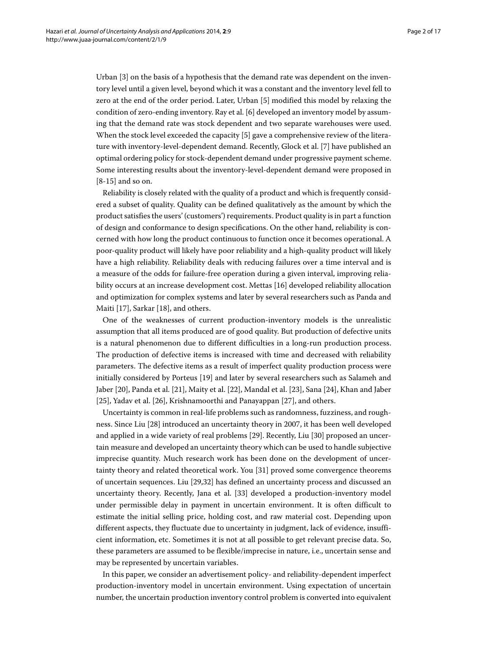Urban [\[3\]](#page-15-2) on the basis of a hypothesis that the demand rate was dependent on the inventory level until a given level, beyond which it was a constant and the inventory level fell to zero at the end of the order period. Later, Urban [\[5\]](#page-15-4) modified this model by relaxing the condition of zero-ending inventory. Ray et al. [\[6\]](#page-15-5) developed an inventory model by assuming that the demand rate was stock dependent and two separate warehouses were used. When the stock level exceeded the capacity [\[5\]](#page-15-4) gave a comprehensive review of the literature with inventory-level-dependent demand. Recently, Glock et al. [\[7\]](#page-15-6) have published an optimal ordering policy for stock-dependent demand under progressive payment scheme. Some interesting results about the inventory-level-dependent demand were proposed in [\[8-](#page-15-7)[15\]](#page-15-8) and so on.

Reliability is closely related with the quality of a product and which is frequently considered a subset of quality. Quality can be defined qualitatively as the amount by which the product satisfies the users' (customers') requirements. Product quality is in part a function of design and conformance to design specifications. On the other hand, reliability is concerned with how long the product continuous to function once it becomes operational. A poor-quality product will likely have poor reliability and a high-quality product will likely have a high reliability. Reliability deals with reducing failures over a time interval and is a measure of the odds for failure-free operation during a given interval, improving reliability occurs at an increase development cost. Mettas [\[16\]](#page-15-9) developed reliability allocation and optimization for complex systems and later by several researchers such as Panda and Maiti [\[17\]](#page-15-10), Sarkar [\[18\]](#page-15-11), and others.

One of the weaknesses of current production-inventory models is the unrealistic assumption that all items produced are of good quality. But production of defective units is a natural phenomenon due to different difficulties in a long-run production process. The production of defective items is increased with time and decreased with reliability parameters. The defective items as a result of imperfect quality production process were initially considered by Porteus [\[19\]](#page-15-12) and later by several researchers such as Salameh and Jaber [\[20\]](#page-15-13), Panda et al. [\[21\]](#page-15-14), Maity et al. [\[22\]](#page-15-15), Mandal et al. [\[23\]](#page-15-16), Sana [\[24\]](#page-15-17), Khan and Jaber [\[25\]](#page-16-0), Yadav et al. [\[26\]](#page-16-1), Krishnamoorthi and Panayappan [\[27\]](#page-16-2), and others.

Uncertainty is common in real-life problems such as randomness, fuzziness, and roughness. Since Liu [\[28\]](#page-16-3) introduced an uncertainty theory in 2007, it has been well developed and applied in a wide variety of real problems [\[29\]](#page-16-4). Recently, Liu [\[30\]](#page-16-5) proposed an uncertain measure and developed an uncertainty theory which can be used to handle subjective imprecise quantity. Much research work has been done on the development of uncertainty theory and related theoretical work. You [\[31\]](#page-16-6) proved some convergence theorems of uncertain sequences. Liu [\[29,](#page-16-4)[32\]](#page-16-7) has defined an uncertainty process and discussed an uncertainty theory. Recently, Jana et al. [\[33\]](#page-16-8) developed a production-inventory model under permissible delay in payment in uncertain environment. It is often difficult to estimate the initial selling price, holding cost, and raw material cost. Depending upon different aspects, they fluctuate due to uncertainty in judgment, lack of evidence, insufficient information, etc. Sometimes it is not at all possible to get relevant precise data. So, these parameters are assumed to be flexible/imprecise in nature, i.e., uncertain sense and may be represented by uncertain variables.

In this paper, we consider an advertisement policy- and reliability-dependent imperfect production-inventory model in uncertain environment. Using expectation of uncertain number, the uncertain production inventory control problem is converted into equivalent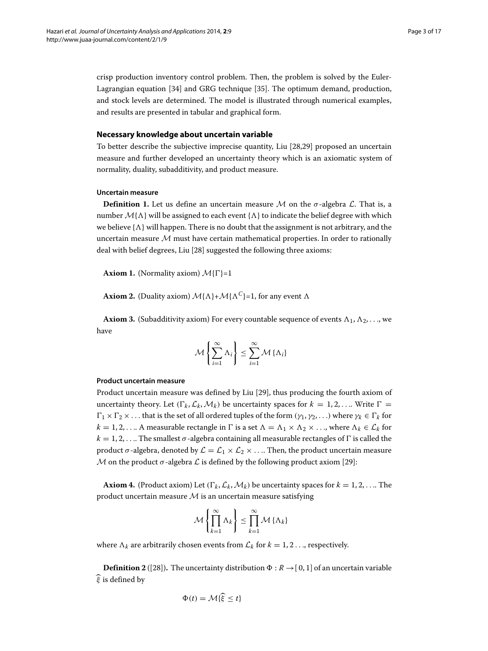crisp production inventory control problem. Then, the problem is solved by the Euler-Lagrangian equation [\[34\]](#page-16-9) and GRG technique [\[35\]](#page-16-10). The optimum demand, production, and stock levels are determined. The model is illustrated through numerical examples, and results are presented in tabular and graphical form.

#### **Necessary knowledge about uncertain variable**

To better describe the subjective imprecise quantity, Liu [\[28](#page-16-3)[,29\]](#page-16-4) proposed an uncertain measure and further developed an uncertainty theory which is an axiomatic system of normality, duality, subadditivity, and product measure.

#### **Uncertain measure**

**Definition 1.** Let us define an uncertain measure *M* on the  $\sigma$ -algebra *L*. That is, a number  $\mathcal{M}{\Lambda}$  will be assigned to each event  ${\Lambda}$  to indicate the belief degree with which we believe  $\{\Lambda\}$  will happen. There is no doubt that the assignment is not arbitrary, and the uncertain measure *M* must have certain mathematical properties. In order to rationally deal with belief degrees, Liu [\[28\]](#page-16-3) suggested the following three axioms:

**Axiom 1.** (Normality axiom)  $\mathcal{M}{\Gamma}$ =1

**Axiom 2.** (Duality axiom)  $M\{\Lambda\}+\mathcal{M}\{\Lambda^C\}=1$ , for any event  $\Lambda$ 

**Axiom 3.** (Subadditivity axiom) For every countable sequence of events  $\Lambda_1, \Lambda_2, \ldots$ , we have

$$
\mathcal{M}\left\{\sum_{i=1}^{\infty}\Lambda_i\right\}\leq \sum_{i=1}^{\infty}\mathcal{M}\left\{\Lambda_i\right\}
$$

#### **Product uncertain measure**

Product uncertain measure was defined by Liu [\[29\]](#page-16-4), thus producing the fourth axiom of uncertainty theory. Let  $(\Gamma_k, \mathcal{L}_k, \mathcal{M}_k)$  be uncertainty spaces for  $k = 1, 2, \dots$  Write  $\Gamma =$  $\Gamma_1 \times \Gamma_2 \times \ldots$  that is the set of all ordered tuples of the form  $(\gamma_1, \gamma_2, \ldots)$  where  $\gamma_k \in \Gamma_k$  for  $k = 1, 2, \ldots$  A measurable rectangle in  $\Gamma$  is a set  $\Lambda = \Lambda_1 \times \Lambda_2 \times \ldots$ , where  $\Lambda_k \in \mathcal{L}_k$  for  $k = 1, 2, \ldots$  The smallest  $\sigma$ -algebra containing all measurable rectangles of  $\Gamma$  is called the product *σ*-algebra, denoted by  $\mathcal{L} = \mathcal{L}_1 \times \mathcal{L}_2 \times \dots$  Then, the product uncertain measure *M* on the product  $\sigma$ -algebra  $\mathcal L$  is defined by the following product axiom [\[29\]](#page-16-4):

**Axiom 4.** (Product axiom) Let  $(\Gamma_k, \mathcal{L}_k, \mathcal{M}_k)$  be uncertainty spaces for  $k = 1, 2, \dots$  The product uncertain measure *M* is an uncertain measure satisfying

$$
\mathcal{M}\left\{\prod_{k=1}^{\infty}\Lambda_k\right\} \leq \prod_{k=1}^{\infty}\mathcal{M}\left\{\Lambda_k\right\}
$$

where  $\Lambda_k$  are arbitrarily chosen events from  $\mathcal{L}_k$  for  $k = 1, 2 \dots$ , respectively.

**Definition 2** ([\[28\]](#page-16-3)). The uncertainty distribution  $\Phi : R \rightarrow [0, 1]$  of an uncertain variable  $\widehat{\xi}$  is defined by

$$
\Phi(t) = \mathcal{M}\{\widehat{\xi} \le t\}
$$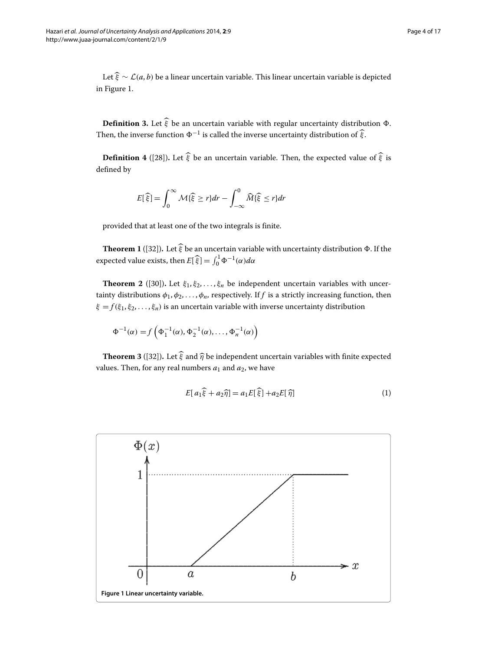Letξ ∼ *L*(*a*, *b*) be a linear uncertain variable. This linear uncertain variable is depicted in Figure [1.](#page-3-0)

**Definition 3.** Let  $\hat{\xi}$  be an uncertain variable with regular uncertainty distribution  $\Phi$ . Then, the inverse function  $\Phi^{-1}$  is called the inverse uncertainty distribution of  $\hat{\xi}$ .

**Definition 4** ([\[28\]](#page-16-3)). Let  $\hat{\xi}$  be an uncertain variable. Then, the expected value of  $\hat{\xi}$  is defined by

$$
E[\widehat{\xi}] = \int_0^\infty \mathcal{M}\{\widehat{\xi} \ge r\} dr - \int_{-\infty}^0 \widehat{M}\{\widehat{\xi} \le r\} dr
$$

provided that at least one of the two integrals is finite.

**Theorem 1** ([\[32\]](#page-16-7)). Let  $\hat{\xi}$  be an uncertain variable with uncertainty distribution  $\Phi$ . If the expected value exists, then  $E[\hat{\xi}] = \int_0^1 \Phi^{-1}(\alpha) d\alpha$ 

**Theorem 2** ([\[30\]](#page-16-5)). Let  $\xi_1, \xi_2, \ldots, \xi_n$  be independent uncertain variables with uncertainty distributions  $\phi_1, \phi_2, \ldots, \phi_n$ , respectively. If *f* is a strictly increasing function, then  $\xi = f(\xi_1, \xi_2, \dots, \xi_n)$  is an uncertain variable with inverse uncertainty distribution

$$
\Phi^{-1}(\alpha) = f\left(\Phi_1^{-1}(\alpha), \Phi_2^{-1}(\alpha), \dots, \Phi_n^{-1}(\alpha)\right)
$$

<span id="page-3-1"></span>**Theorem 3** ([\[32\]](#page-16-7)). Let  $\hat{\xi}$  and  $\hat{\eta}$  be independent uncertain variables with finite expected values. Then, for any real numbers  $a_1$  and  $a_2$ , we have

$$
E[a_1\widehat{\xi} + a_2\widehat{\eta}] = a_1E[\widehat{\xi}] + a_2E[\widehat{\eta}]
$$
\n(1)

<span id="page-3-0"></span>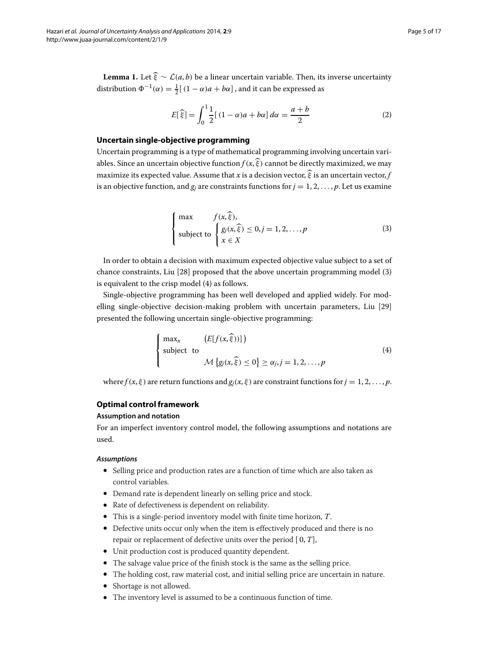<span id="page-4-2"></span>**Lemma 1.** Let  $\hat{\xi} \sim \mathcal{L}(a, b)$  be a linear uncertain variable. Then, its inverse uncertainty distribution  $\Phi^{-1}(\alpha) = \frac{1}{2}[(1 - \alpha)a + b\alpha]$ , and it can be expressed as

$$
E[\hat{\xi}] = \int_0^1 \frac{1}{2} [(1 - \alpha)a + b\alpha] d\alpha = \frac{a+b}{2}
$$
 (2)

#### **Uncertain single-objective programming**

Uncertain programming is a type of mathematical programming involving uncertain variables. Since an uncertain objective function  $f(x, \hat{\xi})$  cannot be directly maximized, we may maximize its expected value. Assume that *x* is a decision vector,  $\hat{\xi}$  is an uncertain vector, *f* is an objective function, and  $g_i$  are constraints functions for  $j = 1, 2, \ldots, p$ . Let us examine

<span id="page-4-0"></span>
$$
\begin{cases}\n\max \quad f(x,\widehat{\xi}), \\
\text{subject to } \begin{cases}\ng_j(x,\widehat{\xi}) \le 0, j = 1, 2, \dots, p \\
x \in X\n\end{cases}\n\end{cases}
$$
\n(3)

In order to obtain a decision with maximum expected objective value subject to a set of chance constraints, Liu [\[28\]](#page-16-3) proposed that the above uncertain programming model [\(3\)](#page-4-0) is equivalent to the crisp model [\(4\)](#page-4-1) as follows.

Single-objective programming has been well developed and applied widely. For modelling single-objective decision-making problem with uncertain parameters, Liu [\[29\]](#page-16-4) presented the following uncertain single-objective programming:

<span id="page-4-1"></span>
$$
\begin{cases}\n\max_x & \left(E[f(x,\hat{\xi}))\right] \\
\text{subject to} & \mathcal{M}\left\{g_j(x,\hat{\xi}) \le 0\right\} \ge \alpha_j, j = 1, 2, \dots, p\n\end{cases} \tag{4}
$$

where  $f(x, \xi)$  are return functions and  $g_i(x, \xi)$  are constraint functions for  $j = 1, 2, \ldots, p$ .

#### **Optimal control framework**

#### **Assumption and notation**

For an imperfect inventory control model, the following assumptions and notations are used.

#### *Assumptions*

- Selling price and production rates are a function of time which are also taken as control variables.
- Demand rate is dependent linearly on selling price and stock.
- Rate of defectiveness is dependent on reliability.
- This is a single-period inventory model with finite time horizon, *T*.
- Defective units occur only when the item is effectively produced and there is no repair or replacement of defective units over the period [ 0, *T*],
- Unit production cost is produced quantity dependent.
- The salvage value price of the finish stock is the same as the selling price.
- The holding cost, raw material cost, and initial selling price are uncertain in nature.
- Shortage is not allowed.
- The inventory level is assumed to be a continuous function of time.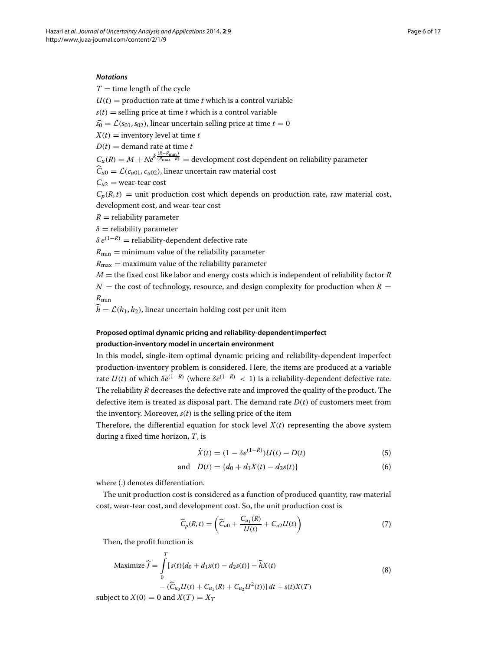#### *Notations*

 $T =$  time length of the cycle

 $U(t)$  = production rate at time *t* which is a control variable

 $s(t)$  = selling price at time *t* which is a control variable

 $\widehat{s_0} = \mathcal{L}(s_{01}, s_{02})$ , linear uncertain selling price at time  $t = 0$ 

 $X(t)$  = inventory level at time *t* 

 $D(t) =$  demand rate at time *t* 

 $C_u(R) = M + Ne^{k\frac{(R-R_{\text{min}})}{(R_{\text{max}}-R)}}$  = development cost dependent on reliability parameter

 $\widehat{C}_{u0} = \mathcal{L}(c_{u01}, c_{u02})$ , linear uncertain raw material cost

 $C_{u2}$  = wear-tear cost

 $C_p(R,t)$  = unit production cost which depends on production rate, raw material cost, development cost, and wear-tear cost

 $R =$  reliability parameter

 $\delta$  = reliability parameter

 $\delta e^{(1-R)}$  = reliability-dependent defective rate

 $R_{\text{min}} =$  minimum value of the reliability parameter

 $R_{\text{max}} =$  maximum value of the reliability parameter

 $M =$  the fixed cost like labor and energy costs which is independent of reliability factor *R*  $N =$  the cost of technology, resource, and design complexity for production when  $R =$ *R*min

 $\hat{h} = \mathcal{L}(h_1, h_2)$ , linear uncertain holding cost per unit item

## **Proposed optimal dynamic pricing and reliability-dependent imperfect production-inventory model in uncertain environment**

In this model, single-item optimal dynamic pricing and reliability-dependent imperfect production-inventory problem is considered. Here, the items are produced at a variable rate  $U(t)$  of which  $\delta e^{(1-R)}$  (where  $\delta e^{(1-R)} < 1$ ) is a reliability-dependent defective rate. The reliability *R* decreases the defective rate and improved the quality of the product. The defective item is treated as disposal part. The demand rate *D*(*t*) of customers meet from the inventory. Moreover,  $s(t)$  is the selling price of the item

Therefore, the differential equation for stock level  $X(t)$  representing the above system during a fixed time horizon, *T*, is

<span id="page-5-0"></span>
$$
\dot{X}(t) = (1 - \delta e^{(1-R)})U(t) - D(t)
$$
\n(5)

and 
$$
D(t) = \{d_0 + d_1X(t) - d_2s(t)\}\
$$
 (6)

where (.) denotes differentiation.

The unit production cost is considered as a function of produced quantity, raw material cost, wear-tear cost, and development cost. So, the unit production cost is

<span id="page-5-1"></span>
$$
\widehat{C}_p(R,t) = \left(\widehat{C}_{u0} + \frac{C_{u1}(R)}{U(t)} + C_{u2}U(t)\right)
$$
\n(7)

Then, the profit function is

$$
\text{Maximize } \widehat{f} = \int_{0}^{T} [s(t)(d_0 + d_1x(t) - d_2s(t)) - \widehat{h}X(t) - (\widehat{C}_{u_0}U(t) + C_{u_1}(R) + C_{u_2}U^2(t))] \, dt + s(t)X(T)
$$
\n
$$
\text{with } Y(0) = 0 \text{ and } Y(T) = Y
$$
\n
$$
\tag{8}
$$

subject to  $X(0) = 0$  and  $X(T) = X_T$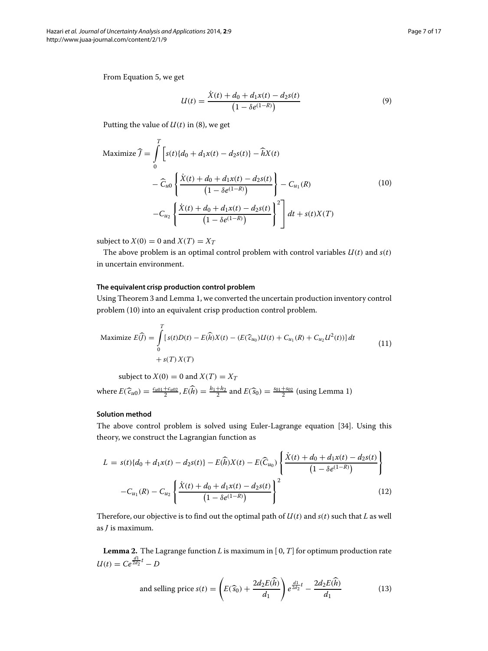From Equation [5,](#page-5-0) we get

<span id="page-6-3"></span><span id="page-6-0"></span>
$$
U(t) = \frac{\dot{X}(t) + d_0 + d_1 x(t) - d_2 s(t)}{\left(1 - \delta e^{(1 - R)}\right)}\tag{9}
$$

Putting the value of *U*(*t*) in [\(8\)](#page-5-1), we get

$$
\text{Maximize } \widehat{f} = \int_{0}^{T} \left[ s(t) \{ d_0 + d_1 x(t) - d_2 s(t) \} - \widehat{h} X(t) \right. \\
\left. - \widehat{C}_{u0} \left\{ \frac{\dot{X}(t) + d_0 + d_1 x(t) - d_2 s(t)}{\left(1 - \delta e^{(1 - R)}\right)} \right\} - C_{u_1}(R) \\
\left. - C_{u_2} \left\{ \frac{\dot{X}(t) + d_0 + d_1 x(t) - d_2 s(t)}{\left(1 - \delta e^{(1 - R)}\right)} \right\}^2 \right] dt + s(t) X(T)
$$
\n(10)

subject to  $X(0) = 0$  and  $X(T) = X_T$ 

The above problem is an optimal control problem with control variables  $U(t)$  and  $s(t)$ in uncertain environment.

#### **The equivalent crisp production control problem**

Using Theorem [3](#page-3-1) and Lemma [1,](#page-4-2) we converted the uncertain production inventory control problem [\(10\)](#page-6-0) into an equivalent crisp production control problem.

Maximize 
$$
E(\widehat{f}) = \int_{0}^{T} [s(t)D(t) - E(\widehat{h})X(t) - (E(\widehat{c}_{u_0})U(t) + C_{u_1}(R) + C_{u_2}U^2(t))]dt
$$
  
  $+ s(T)X(T)$  (11)

subject to  $X(0) = 0$  and  $X(T) = X_T$ 

where  $E(\hat{c}_{u0}) = \frac{c_{u01} + c_{u02}}{2}$ ,  $E(\hat{h}) = \frac{h_1 + h_2}{2}$  and  $E(\hat{s}_0) = \frac{s_{01} + s_{02}}{2}$  (using Lemma [1\)](#page-4-2)

#### **Solution method**

The above control problem is solved using Euler-Lagrange equation [\[34\]](#page-16-9). Using this theory, we construct the Lagrangian function as

<span id="page-6-1"></span>
$$
L = s(t)\{d_0 + d_1x(t) - d_2s(t)\} - E(\widehat{h})X(t) - E(\widehat{C}_{u_0})\left\{\frac{\dot{X}(t) + d_0 + d_1x(t) - d_2s(t)}{\left(1 - \delta e^{(1 - R)}\right)}\right\}
$$

$$
-C_{u_1}(R) - C_{u_2}\left\{\frac{\dot{X}(t) + d_0 + d_1x(t) - d_2s(t)}{\left(1 - \delta e^{(1 - R)}\right)}\right\}^2
$$
(12)

Therefore, our objective is to find out the optimal path of *U*(*t*) and *s*(*t*) such that *L* as well as *J* is maximum.

**Lemma 2.** The Lagrange function *L* is maximum in [ 0, *T*] for optimum production rate  $U(t) = Ce^{\frac{d1}{2d_2}t} - D$ 

<span id="page-6-2"></span>and selling price 
$$
s(t) = \left( E(\widehat{s}_0) + \frac{2d_2 E(\widehat{h})}{d_1} \right) e^{\frac{d_1}{2d_2}t} - \frac{2d_2 E(\widehat{h})}{d_1}
$$
 (13)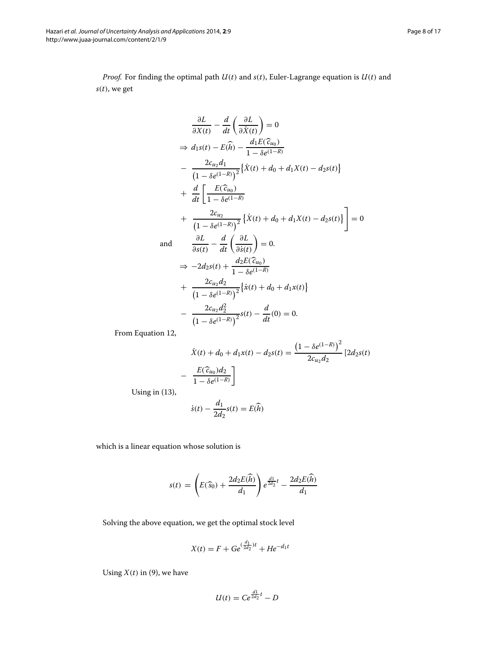*Proof.* For finding the optimal path  $U(t)$  and  $s(t)$ , Euler-Lagrange equation is  $U(t)$  and *s*(*t*), we get

$$
\frac{\partial L}{\partial X(t)} - \frac{d}{dt} \left( \frac{\partial L}{\partial \dot{X}(t)} \right) = 0
$$
\n
$$
\Rightarrow d_1s(t) - E(\hat{h}) - \frac{d_1E(\hat{c}_{u_0})}{1 - \delta e^{(1 - R)}} - \frac{2c_{u_2}d_1}{(1 - \delta e^{(1 - R)})^2} \left\{ \dot{X}(t) + d_0 + d_1X(t) - d_2s(t) \right\}
$$
\n
$$
+ \frac{d}{dt} \left[ \frac{E(\hat{c}_{u_0})}{1 - \delta e^{(1 - R)}} + \frac{2c_{u_2}}{(1 - \delta e^{(1 - R)})^2} \left\{ \dot{X}(t) + d_0 + d_1X(t) - d_2s(t) \right\} \right] = 0
$$
\nand\n
$$
\frac{\partial L}{\partial s(t)} - \frac{d}{dt} \left( \frac{\partial L}{\partial \dot{s}(t)} \right) = 0.
$$
\n
$$
\Rightarrow -2d_2s(t) + \frac{d_2E(\hat{c}_{u_0})}{1 - \delta e^{(1 - R)}} + \frac{2c_{u_2}d_2}{(1 - \delta e^{(1 - R)})^2} \left\{ \dot{x}(t) + d_0 + d_1x(t) \right\}
$$
\n
$$
- \frac{2c_{u_2}d_2^2}{(1 - \delta e^{(1 - R)})^2} s(t) - \frac{d}{dt}(0) = 0.
$$

From Equation [12,](#page-6-1)

$$
\dot{X}(t) + d_0 + d_1 x(t) - d_2 s(t) = \frac{\left(1 - \delta e^{(1-R)}\right)^2}{2c_{u_2}d_2} \left[2d_2 s(t)\right]
$$

$$
-\frac{E(\hat{c}_{u_0})d_2}{1 - \delta e^{(1-R)}}\bigg]
$$

Using in [\(13\)](#page-6-2),

$$
\dot{s}(t) - \frac{d_1}{2d_2}s(t) = E(\widehat{h})
$$

which is a linear equation whose solution is

$$
s(t) = \left( E(\widehat{s}_0) + \frac{2d_2 E(\widehat{h})}{d_1} \right) e^{\frac{d_1}{2d_2}t} - \frac{2d_2 E(\widehat{h})}{d_1}
$$

Solving the above equation, we get the optimal stock level

$$
X(t) = F + Ge^{(\frac{d_1}{2d_2})t} + He^{-d_1t}
$$

Using  $X(t)$  in [\(9\)](#page-6-3), we have

$$
U(t) = Ce^{\frac{d1}{2d_2}t} - D
$$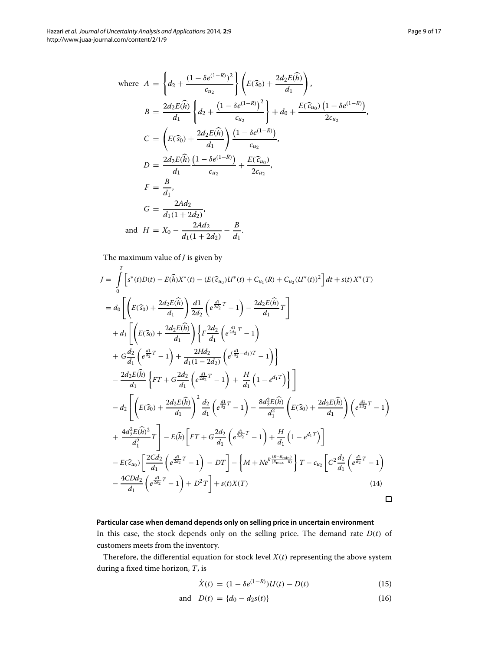where 
$$
A = \left\{ d_2 + \frac{(1 - \delta e^{(1-R)})^2}{c_{u_2}} \right\} \left( E(\widehat{s}_0) + \frac{2d_2 E(\widehat{h})}{d_1} \right),
$$
  
\n $B = \frac{2d_2 E(\widehat{h})}{d_1} \left\{ d_2 + \frac{(1 - \delta e^{(1-R)})^2}{c_{u_2}} \right\} + d_0 + \frac{E(\widehat{c}_{u_0}) (1 - \delta e^{(1-R)})}{2c_{u_2}},$   
\n $C = \left( E(\widehat{s}_0) + \frac{2d_2 E(\widehat{h})}{d_1} \right) \frac{(1 - \delta e^{(1-R)})}{c_{u_2}},$   
\n $D = \frac{2d_2 E(\widehat{h}) (1 - \delta e^{(1-R)})}{d_1 - c_{u_2}} + \frac{E(\widehat{c}_{u_0})}{2c_{u_2}},$   
\n $F = \frac{B}{d_1},$   
\n $G = \frac{2Ad_2}{d_1(1 + 2d_2)},$   
\nand  $H = X_0 - \frac{2Ad_2}{d_1(1 + 2d_2)} - \frac{B}{d_1}.$ 

The maximum value of *J* is given by

$$
J = \int_{0}^{T} \left[ s^{*}(t)D(t) - E(\hat{h})X^{*}(t) - (E(\hat{c}_{u_{0}})U^{*}(t) + C_{u_{1}}(R) + C_{u_{2}}(U^{*}(t))^{2} \right] dt + s(t)X^{*}(T)
$$
  
\n
$$
= d_{0} \left[ \left( E(\hat{s}_{0}) + \frac{2d_{2}E(\hat{h})}{d_{1}} \right) \frac{d_{1}}{2d_{2}} \left( e^{\frac{d_{1}}{2d_{2}}T} - 1 \right) - \frac{2d_{2}E(\hat{h})}{d_{1}} T \right]
$$
  
\n
$$
+ d_{1} \left[ \left( E(\hat{s}_{0}) + \frac{2d_{2}E(\hat{h})}{d_{1}} \right) \left\{ F \frac{2d_{2}}{d_{1}} \left( e^{\frac{d_{1}}{d_{2}}T} - 1 \right) \right\}
$$
  
\n
$$
+ G \frac{d_{2}}{d_{1}} \left( e^{\frac{d_{1}}{d_{2}}T} - 1 \right) + \frac{2Hd_{2}}{d_{1}(1 - 2d_{2})} \left( e^{\frac{d_{1}}{d_{2}} - d_{1}} - 1 \right) \right\}
$$
  
\n
$$
- \frac{2d_{2}E(\hat{h})}{d_{1}} \left\{ FT + G \frac{2d_{2}}{d_{1}} \left( e^{\frac{d_{1}}{d_{2}}T} - 1 \right) + \frac{H}{d_{1}} \left( 1 - e^{d_{1}T} \right) \right\}
$$
  
\n
$$
- d_{2} \left[ \left( E(\hat{s}_{0}) + \frac{2d_{2}E(\hat{h})}{d_{1}} \right)^{2} \frac{d_{2}}{d_{1}} \left( e^{\frac{d_{1}}{d_{2}}T} - 1 \right) - \frac{8d_{2}^{2}E(\hat{h})}{d_{1}^{2}} \left( E(\hat{s}_{0}) + \frac{2d_{2}E(\hat{h})}{d_{1}} \right) \left( e^{\frac{d_{1}}{2d_{2}}T} - 1 \right) \right]
$$
  
\n
$$
+ \frac{4d_{2}^{2}E(\hat{h})^{2}}{d_{1}^{2}} T \right] - E(\hat{h}) \left[ FT + G
$$

# **Particular case when demand depends only on selling price in uncertain environment** In this case, the stock depends only on the selling price. The demand rate *D*(*t*) of customers meets from the inventory.

Therefore, the differential equation for stock level  $X(t)$  representing the above system during a fixed time horizon, *T*, is

<span id="page-8-0"></span>
$$
\dot{X}(t) = (1 - \delta e^{(1-R)})U(t) - D(t)
$$
\n(15)

and 
$$
D(t) = \{d_0 - d_2 s(t)\}\
$$
 (16)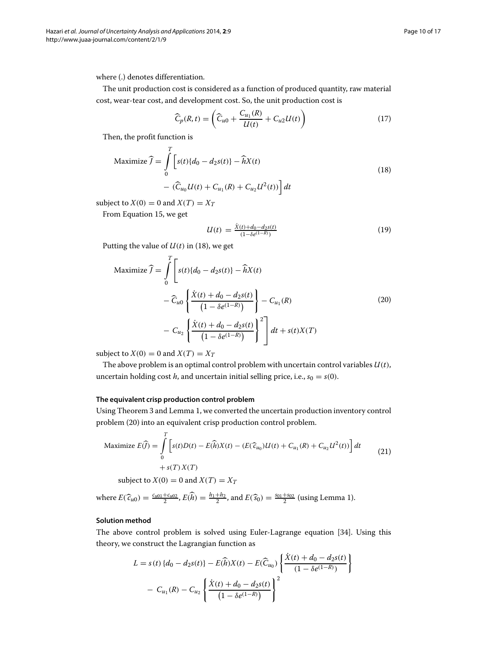where (.) denotes differentiation.

The unit production cost is considered as a function of produced quantity, raw material cost, wear-tear cost, and development cost. So, the unit production cost is

<span id="page-9-0"></span>
$$
\widehat{C}_p(R,t) = \left(\widehat{C}_{u0} + \frac{C_{u1}(R)}{U(t)} + C_{u2}U(t)\right)
$$
\n(17)

Then, the profit function is

Maximize 
$$
\widehat{J} = \int_{0}^{T} \left[ s(t) \{d_0 - d_2 s(t)\} - \widehat{h} X(t) - (\widehat{C}_{u_0} U(t) + C_{u_1}(R) + C_{u_2} U^2(t)) \right] dt
$$
 (18)

subject to  $X(0) = 0$  and  $X(T) = X_T$ 

From Equation [15,](#page-8-0) we get

<span id="page-9-1"></span>
$$
U(t) = \frac{\dot{X}(t) + d_0 - d_2 s(t)}{(1 - \delta e^{(1 - R)})}
$$
(19)

Putting the value of  $U(t)$  in [\(18\)](#page-9-0), we get

$$
\begin{aligned}\n\text{Maximize } \widehat{f} &= \int_{0}^{T} \left[ s(t) \{d_0 - d_2 s(t)\} - \widehat{h} X(t) \right. \\
&\quad - \widehat{C}_{u0} \left\{ \frac{\dot{X}(t) + d_0 - d_2 s(t)}{\left(1 - \delta e^{(1 - R)}\right)} \right\} - C_{u_1}(R) \\
&\quad - C_{u_2} \left\{ \frac{\dot{X}(t) + d_0 - d_2 s(t)}{\left(1 - \delta e^{(1 - R)}\right)} \right\}^2 \right] dt + s(t) X(T)\n\end{aligned} \tag{20}
$$

subject to  $X(0) = 0$  and  $X(T) = X_T$ 

The above problem is an optimal control problem with uncertain control variables  $U(t)$ , uncertain holding cost *h*, and uncertain initial selling price, i.e.,  $s_0 = s(0)$ .

#### **The equivalent crisp production control problem**

Using Theorem [3](#page-3-1) and Lemma [1,](#page-4-2) we converted the uncertain production inventory control problem [\(20\)](#page-9-1) into an equivalent crisp production control problem.

Maximize 
$$
E(\widehat{f}) = \int_{0}^{T} \left[ s(t)D(t) - E(\widehat{h})X(t) - (E(\widehat{c}_{u_0})U(t) + C_{u_1}(R) + C_{u_2}U^2(t)) \right] dt
$$
  
+  $s(T) X(T)$  (21)

subject to  $X(0) = 0$  and  $X(T) = X_T$ 

where 
$$
E(\hat{c}_{u0}) = \frac{c_{u01} + c_{u02}}{2}
$$
,  $E(\hat{h}) = \frac{h_1 + h_2}{2}$ , and  $E(\hat{s}_0) = \frac{s_{01} + s_{02}}{2}$  (using Lemma 1).

#### **Solution method**

The above control problem is solved using Euler-Lagrange equation [\[34\]](#page-16-9). Using this theory, we construct the Lagrangian function as

<span id="page-9-2"></span>
$$
L = s(t) \{d_0 - d_2 s(t)\} - E(\widehat{h})X(t) - E(\widehat{C}_{u_0})\left\{\frac{\dot{X}(t) + d_0 - d_2 s(t)}{(1 - \delta e^{(1 - R)})}\right\}
$$

$$
- C_{u_1}(R) - C_{u_2}\left\{\frac{\dot{X}(t) + d_0 - d_2 s(t)}{(1 - \delta e^{(1 - R)})}\right\}^2
$$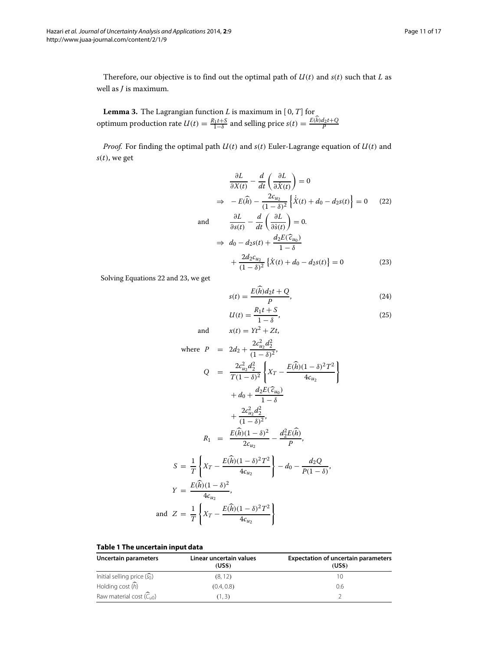Therefore, our objective is to find out the optimal path of  $U(t)$  and  $s(t)$  such that  $L$  as well as *J* is maximum.

<span id="page-10-2"></span>**Lemma 3.** The Lagrangian function *L* is maximum in [ 0, *T*] for optimum production rate  $U(t) = \frac{R_1 t + S}{1 - \delta}$  and selling price  $s(t) = \frac{E(h)d_2 t + Q}{P}$ 

*Proof.* For finding the optimal path  $U(t)$  and  $s(t)$  Euler-Lagrange equation of  $U(t)$  and  $s(t)$ , we get

$$
\frac{\partial L}{\partial X(t)} - \frac{d}{dt} \left( \frac{\partial L}{\partial \dot{X}(t)} \right) = 0
$$
\n
$$
\Rightarrow -E(\hat{h}) - \frac{2c_{u_2}}{(1-\delta)^2} \left\{ \dot{X}(t) + d_0 - d_2 s(t) \right\} = 0 \quad (22)
$$
\nand\n
$$
\frac{\partial L}{\partial s(t)} - \frac{d}{dt} \left( \frac{\partial L}{\partial \dot{s}(t)} \right) = 0.
$$
\n
$$
\Rightarrow d_0 - d_2 s(t) + \frac{d_2 E(\hat{c}_{u_0})}{1-\delta}
$$
\n
$$
+ \frac{2d_2 c_{u_2}}{(1-\delta)^2} \left\{ \dot{X}(t) + d_0 - d_2 s(t) \right\} = 0 \quad (23)
$$

Solving Equations [22](#page-9-2) and [23,](#page-10-0) we get

<span id="page-10-0"></span>
$$
s(t) = \frac{E(\widehat{h})d_2t + Q}{P},
$$
\n(24)

$$
U(t) = \frac{R_1 t + S}{1 - \delta},
$$
  
and 
$$
x(t) = Yt^2 + Zt,
$$
 (25)

where 
$$
P = 2d_2 + \frac{2c_{u_2}^2 d_2^2}{(1 - \delta)^2}
$$
,  
\n $Q = \frac{2c_{u_2}^2 d_2^2}{T(1 - \delta)^2} \left\{ X_T - \frac{E(\hat{h})(1 - \delta)^2 T^2}{4c_{u_2}} \right\}$   
\n $+ d_0 + \frac{d_2 E(\hat{c}_{u_0})}{1 - \delta}$   
\n $+ \frac{2c_{u_2}^2 d_2^2}{(1 - \delta)^2}$ ,  
\n $R_1 = \frac{E(\hat{h})(1 - \delta)^2}{2c_{u_2}} - \frac{d_2^2 E(\hat{h})}{P}$ ,  
\n $S = \frac{1}{T} \left\{ X_T - \frac{E(\hat{h})(1 - \delta)^2 T^2}{4c_{u_2}} \right\} - d_0 - \frac{d_2 Q}{P(1 - \delta)}$ ,  
\n $Y = \frac{E(\hat{h})(1 - \delta)^2}{4c_{u_2}}$ ,  
\nand  $Z = \frac{1}{T} \left\{ X_T - \frac{E(\hat{h})(1 - \delta)^2 T^2}{4c_{u_2}} \right\}$ 

#### **Table 1 The uncertain input data**

<span id="page-10-1"></span>

| Uncertain parameters                    | Linear uncertain values<br>(US\$) | <b>Expectation of uncertain parameters</b><br>(USS) |
|-----------------------------------------|-----------------------------------|-----------------------------------------------------|
| Initial selling price $(\widehat{s_0})$ | (8, 12)                           | 10                                                  |
| Holding cost $(\widehat{h})$            | (0.4, 0.8)                        | 0.6                                                 |
| Raw material cost $(\widehat{C}_{(1)}$  | (1.3)                             |                                                     |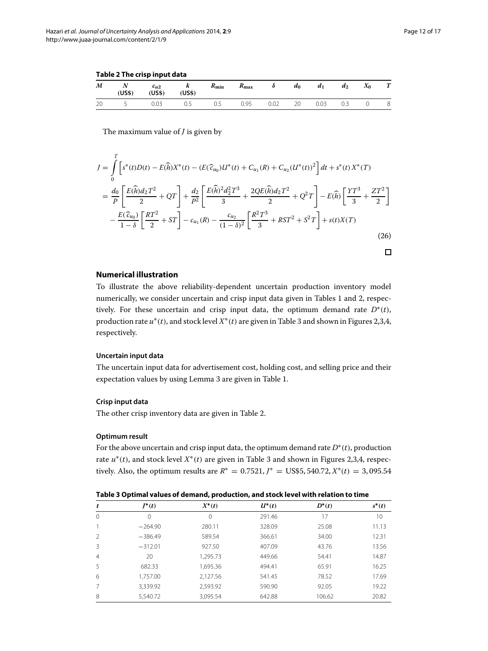**Table 2 The crisp input data**

<span id="page-11-0"></span>

| M  | $N$ $c_{u2}$<br>(USS) | (USS) | $k$ $R_{\min}$<br>(US\$) |     | $R_{\text{max}}$ |         | $\delta$ $d_0$ $d_1$ | $d_2$ | $X_0$       | T |
|----|-----------------------|-------|--------------------------|-----|------------------|---------|----------------------|-------|-------------|---|
| 20 | 5 0.03                |       | 0.5                      | 0.5 | 0.95             | 0.02 20 | 0.03                 | 0.3   | $0\qquad 8$ |   |

The maximum value of *J* is given by

$$
J = \int_{0}^{T} \left[ s^{*}(t)D(t) - E(\widehat{h})X^{*}(t) - (E(\widehat{c}_{u_{0}})U^{*}(t) + C_{u_{1}}(R) + C_{u_{2}}(U^{*}(t))^{2} \right] dt + s^{*}(t)X^{*}(T)
$$
  
\n
$$
= \frac{d_{0}}{P} \left[ \frac{E(\widehat{h})d_{2}T^{2}}{2} + QT \right] + \frac{d_{2}}{P^{2}} \left[ \frac{E(\widehat{h})^{2}d_{2}^{2}T^{3}}{3} + \frac{2QE(\widehat{h})d_{2}T^{2}}{2} + Q^{2}T \right] - E(\widehat{h}) \left[ \frac{YT^{3}}{3} + \frac{ZT^{2}}{2} \right]
$$
  
\n
$$
- \frac{E(\widehat{c}_{u_{0}})}{1 - \delta} \left[ \frac{RT^{2}}{2} + ST \right] - c_{u_{1}}(R) - \frac{c_{u_{2}}}{(1 - \delta)^{2}} \left[ \frac{R^{2}T^{3}}{3} + RST^{2} + S^{2}T \right] + s(t)X(T)
$$
\n(26)

#### **Numerical illustration**

To illustrate the above reliability-dependent uncertain production inventory model numerically, we consider uncertain and crisp input data given in Tables [1](#page-10-1) and [2,](#page-11-0) respectively. For these uncertain and crisp input data, the optimum demand rate  $D^*(t)$ , production rate *u*∗(*t*), and stock level *X*∗(*t*) are given in Table [3](#page-11-1) and shown in Figures [2](#page-12-0)[,3](#page-12-1)[,4,](#page-13-0) respectively.

#### **Uncertain input data**

The uncertain input data for advertisement cost, holding cost, and selling price and their expectation values by using Lemma [3](#page-10-2) are given in Table [1.](#page-10-1)

#### **Crisp input data**

The other crisp inventory data are given in Table [2.](#page-11-0)

#### **Optimum result**

For the above uncertain and crisp input data, the optimum demand rate  $D^*(t)$ , production rate  $u^*(t)$ , and stock level  $X^*(t)$  are given in Table [3](#page-11-1) and shown in Figures [2](#page-12-0)[,3,](#page-12-1)[4,](#page-13-0) respectively. Also, the optimum results are  $R^* = 0.7521$ ,  $J^* = \text{USS}5, 540.72$ ,  $X^*(t) = 3,095.54$ 

<span id="page-11-1"></span>

| t              | $J^*(t)$  | $X^*(t)$ | $U^*(t)$ | $D^*(t)$ | $s^*(t)$ |
|----------------|-----------|----------|----------|----------|----------|
| $\Omega$       | 0         | 0        | 291.46   | 17       | 10       |
|                | $-264.90$ | 280.11   | 328.09   | 25.08    | 11.13    |
| $\mathcal{L}$  | $-386.49$ | 589.54   | 366.61   | 34.00    | 12.31    |
| 3              | $-312.01$ | 927.50   | 407.09   | 43.76    | 13.56    |
| $\overline{4}$ | 20        | 1.295.73 | 449.66   | 54.41    | 14.87    |
| 5              | 682.33    | 1,695.36 | 494.41   | 65.91    | 16.25    |
| 6              | 1,757.00  | 2,127.56 | 541.45   | 78.52    | 17.69    |
|                | 3,339.92  | 2,593.92 | 590.90   | 92.05    | 19.22    |
| 8              | 5,540.72  | 3,095.54 | 642.88   | 106.62   | 20.82    |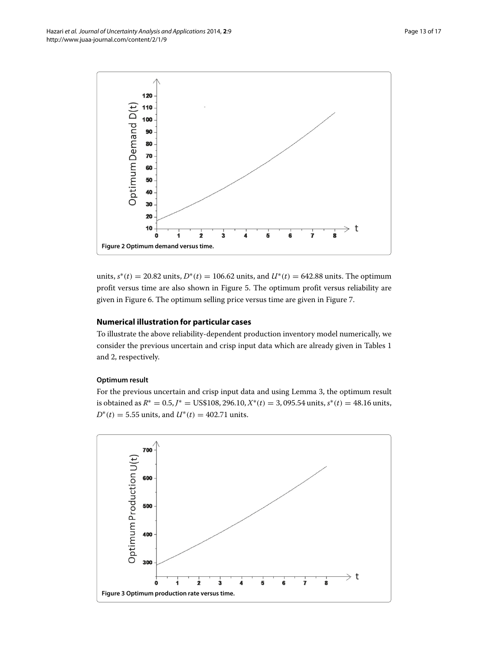

<span id="page-12-0"></span>units,  $s^*(t) = 20.82$  units,  $D^*(t) = 106.62$  units, and  $U^*(t) = 642.88$  units. The optimum profit versus time are also shown in Figure [5.](#page-13-1) The optimum profit versus reliability are given in Figure [6.](#page-14-0) The optimum selling price versus time are given in Figure [7.](#page-14-1)

#### **Numerical illustration for particular cases**

To illustrate the above reliability-dependent production inventory model numerically, we consider the previous uncertain and crisp input data which are already given in Tables [1](#page-10-1) and [2,](#page-11-0) respectively.

#### **Optimum result**

For the previous uncertain and crisp input data and using Lemma [3,](#page-10-2) the optimum result is obtained as *R*<sup>∗</sup> = 0.5, *J*<sup>∗</sup> = US\$108, 296.10, *X*∗(*t*) = 3, 095.54 units, *s*∗(*t*) = 48.16 units, *D*<sup>\*</sup>(*t*) = 5.55 units, and *U*<sup>\*</sup>(*t*) = 402.71 units.

<span id="page-12-1"></span>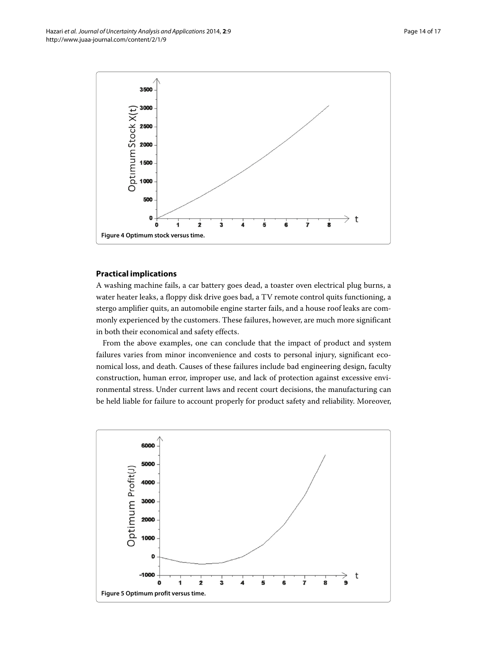

### <span id="page-13-0"></span>**Practical implications**

A washing machine fails, a car battery goes dead, a toaster oven electrical plug burns, a water heater leaks, a floppy disk drive goes bad, a TV remote control quits functioning, a stergo amplifier quits, an automobile engine starter fails, and a house roof leaks are commonly experienced by the customers. These failures, however, are much more significant in both their economical and safety effects.

From the above examples, one can conclude that the impact of product and system failures varies from minor inconvenience and costs to personal injury, significant economical loss, and death. Causes of these failures include bad engineering design, faculty construction, human error, improper use, and lack of protection against excessive environmental stress. Under current laws and recent court decisions, the manufacturing can be held liable for failure to account properly for product safety and reliability. Moreover,

<span id="page-13-1"></span>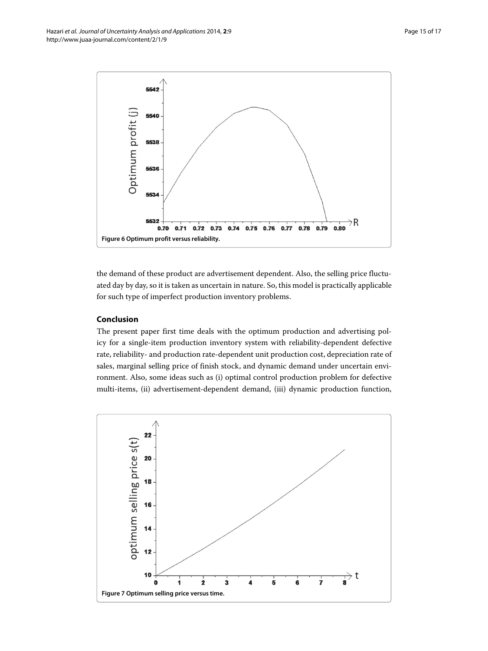

<span id="page-14-0"></span>the demand of these product are advertisement dependent. Also, the selling price fluctuated day by day, so it is taken as uncertain in nature. So, this model is practically applicable for such type of imperfect production inventory problems.

#### **Conclusion**

The present paper first time deals with the optimum production and advertising policy for a single-item production inventory system with reliability-dependent defective rate, reliability- and production rate-dependent unit production cost, depreciation rate of sales, marginal selling price of finish stock, and dynamic demand under uncertain environment. Also, some ideas such as (i) optimal control production problem for defective multi-items, (ii) advertisement-dependent demand, (iii) dynamic production function,

<span id="page-14-1"></span>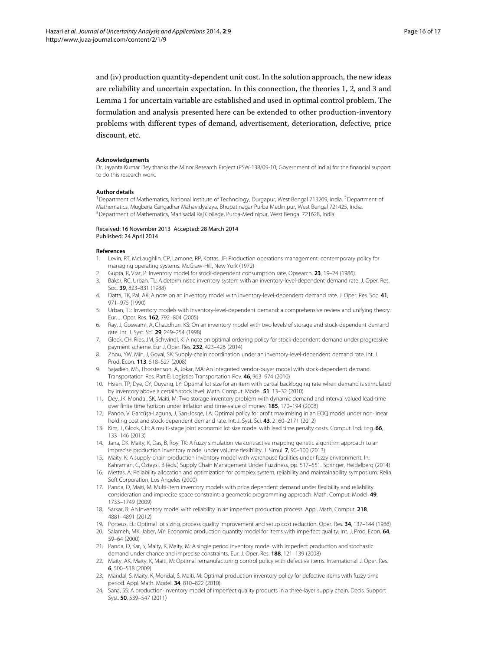and (iv) production quantity-dependent unit cost. In the solution approach, the new ideas are reliability and uncertain expectation. In this connection, the theories 1, 2, and 3 and Lemma [1](#page-4-2) for uncertain variable are established and used in optimal control problem. The formulation and analysis presented here can be extended to other production-inventory problems with different types of demand, advertisement, deterioration, defective, price discount, etc.

#### **Acknowledgements**

Dr. Jayanta Kumar Dey thanks the Minor Research Project (PSW-138/09-10, Government of India) for the financial support to do this research work.

#### **Author details**

<sup>1</sup> Department of Mathematics, National Institute of Technology, Durgapur, West Bengal 713209, India. <sup>2</sup> Department of Mathematics, Mugberia Gangadhar Mahavidyalaya, Bhupatinagar Purba Medinipur, West Bengal 721425, India. <sup>3</sup> Department of Mathematics, Mahisadal Raj College, Purba-Medinipur, West Bengal 721628, India.

#### Received: 16 November 2013 Accepted: 28 March 2014 Published: 24 April 2014

#### **References**

- <span id="page-15-0"></span>1. Levin, RT, McLaughlin, CP, Lamone, RP, Kottas, JF: Production operations management: contemporary policy for managing operating systems. McGraw-Hill, New York (1972)
- <span id="page-15-1"></span>2. Gupta, R, Vrat, P: Inventory model for stock-dependent consumption rate. Opsearch. **23**, 19–24 (1986)
- <span id="page-15-2"></span>3. Baker, RC, Urban, TL: A deterministic inventory system with an inventory-level-dependent demand rate. J. Oper. Res. Soc. **39**, 823–831 (1988)
- <span id="page-15-3"></span>4. Datta, TK, Pal, AK: A note on an inventory model with inventory-level-dependent demand rate. J. Oper. Res. Soc. **41**, 971–975 (1990)
- <span id="page-15-4"></span>5. Urban, TL: Inventory models with inventory-level-dependent demand: a comprehensive review and unifying theory. Eur. J. Oper. Res. **162**, 792–804 (2005)
- <span id="page-15-5"></span>6. Ray, J, Goswami, A, Chaudhuri, KS: On an inventory model with two levels of storage and stock-dependent demand rate. Int. J. Syst. Sci. **29**, 249–254 (1998)
- <span id="page-15-6"></span>7. Glock, CH, Ries, JM, Schwindl, K: A note on optimal ordering policy for stock-dependent demand under progressive payment scheme. Eur J. Oper. Res. **232**, 423–426 (2014)
- <span id="page-15-7"></span>8. Zhou, YW, Min, J, Goyal, SK: Supply-chain coordination under an inventory-level-dependent demand rate. Int. J. Prod. Econ. **113**, 518–527 (2008)
- 9. Sajadieh, MS, Thorstenson, A, Jokar, MA: An integrated vendor-buyer model with stock-dependent demand. Transportation Res. Part E: Logistics Transportation Rev. **46**, 963–974 (2010)
- 10. Hsieh, TP, Dye, CY, Ouyang, LY: Optimal lot size for an item with partial backlogging rate when demand is stimulated by inventory above a certain stock level. Math. Comput. Model. **51**, 13–32 (2010)
- 11. Dey, JK, Mondal, SK, Maiti, M: Two storage inventory problem with dynamic demand and interval valued lead-time over finite time horizon under inflation and time-value of money. **185**, 170–194 (2008)
- 12. Pando, V, Garcűşa-Laguna, J, San-Josqe, LA: Optimal policy for profit maximising in an EOQ model under non-linear holding cost and stock-dependent demand rate. Int. J. Syst. Sci. **43**, 2160–2171 (2012)
- 13. Kim, T, Glock, CH: A multi-stage joint economic lot size model with lead time penalty costs. Comput. Ind. Eng. **66**, 133–146 (2013)
- 14. Jana, DK, Maity, K, Das, B, Roy, TK: A fuzzy simulation via contractive mapping genetic algorithm approach to an imprecise production inventory model under volume flexibility. J. Simul. **7**, 90–100 (2013)
- <span id="page-15-8"></span>15. Maity, K: A supply-chain production inventory model with warehouse facilities under fuzzy environment. In:
- <span id="page-15-9"></span>Kahraman, C, Oztaysi, B (eds.) Supply Chain Management Under Fuzziness, pp. 517–551. Springer, Heidelberg (2014) 16. Mettas, A: Reliability allocation and optimization for complex system, reliability and maintainability symposium. Relia Soft Corporation, Los Angeles (2000)
- <span id="page-15-10"></span>17. Panda, D, Maiti, M: Multi-item inventory models with price dependent demand under flexibility and reliability consideration and imprecise space constraint: a geometric programming approach. Math. Comput. Model. **49**, 1733–1749 (2009)
- <span id="page-15-11"></span>18. Sarkar, B: An inventory model with reliability in an imperfect production process. Appl. Math. Comput. **218**, 4881–4891 (2012)
- <span id="page-15-12"></span>19. Porteus, EL: Optimal lot sizing, process quality improvement and setup cost reduction. Oper. Res. **34**, 137–144 (1986)
- <span id="page-15-13"></span>20. Salameh, MK, Jaber, MY: Economic production quantity model for items with imperfect quality. Int. J. Prod. Econ. **64**, 59–64 (2000)
- <span id="page-15-14"></span>21. Panda, D, Kar, S, Maity, K, Maity, M: A single period inventory model with imperfect production and stochastic demand under chance and imprecise constraints. Eur. J. Oper. Res. **188**, 121–139 (2008)
- <span id="page-15-15"></span>22. Maity, AK, Maity, K, Maiti, M: Optimal remanufacturing control policy with defective items. International J. Oper. Res. **6**, 500–518 (2009)
- <span id="page-15-16"></span>23. Mandal, S, Maity, K, Mondal, S, Maiti, M: Optimal production inventory policy for defective items with fuzzy time period. Appl. Math. Model. **34**, 810–822 (2010)
- <span id="page-15-17"></span>24. Sana, SS: A production-inventory model of imperfect quality products in a three-layer supply chain. Decis. Support Syst. **50**, 539–547 (2011)